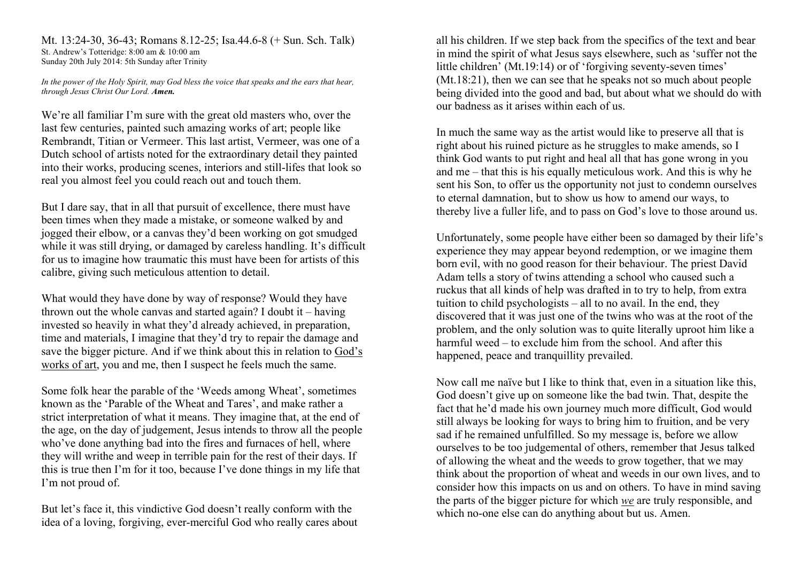Mt. 13:24-30, 36-43; Romans 8.12-25; Isa.44.6-8 (+ Sun. Sch. Talk) St. Andrew's Totteridge: 8:00 am & 10:00 am Sunday 20th July 2014: 5th Sunday after Trinity

*In the power of the Holy Spirit, may God bless the voice that speaks and the ears that hear, through Jesus Christ Our Lord. Amen.*

We're all familiar I'm sure with the great old masters who, over the last few centuries, painted such amazing works of art; people like Rembrandt, Titian or Vermeer. This last artist, Vermeer, was one of a Dutch school of artists noted for the extraordinary detail they painted into their works, producing scenes, interiors and still-lifes that look so real you almost feel you could reach out and touch them.

But I dare say, that in all that pursuit of excellence, there must have been times when they made a mistake, or someone walked by and jogged their elbow, or a canvas they'd been working on got smudged while it was still drying, or damaged by careless handling. It's difficult for us to imagine how traumatic this must have been for artists of this calibre, giving such meticulous attention to detail.

What would they have done by way of response? Would they have thrown out the whole canvas and started again? I doubt it – having invested so heavily in what they'd already achieved, in preparation, time and materials, I imagine that they'd try to repair the damage and save the bigger picture. And if we think about this in relation to God's works of art, you and me, then I suspect he feels much the same.

Some folk hear the parable of the 'Weeds among Wheat', sometimes known as the 'Parable of the Wheat and Tares', and make rather a strict interpretation of what it means. They imagine that, at the end of the age, on the day of judgement, Jesus intends to throw all the people who've done anything bad into the fires and furnaces of hell, where they will writhe and weep in terrible pain for the rest of their days. If this is true then I'm for it too, because I've done things in my life that I'm not proud of.

But let's face it, this vindictive God doesn't really conform with the idea of a loving, forgiving, ever-merciful God who really cares about all his children. If we step back from the specifics of the text and bear in mind the spirit of what Jesus says elsewhere, such as 'suffer not the little children' (Mt.19:14) or of 'forgiving seventy-seven times' (Mt.18:21), then we can see that he speaks not so much about people being divided into the good and bad, but about what we should do with our badness as it arises within each of us.

In much the same way as the artist would like to preserve all that is right about his ruined picture as he struggles to make amends, so I think God wants to put right and heal all that has gone wrong in you and me – that this is his equally meticulous work. And this is why he sent his Son, to offer us the opportunity not just to condemn ourselves to eternal damnation, but to show us how to amend our ways, to thereby live a fuller life, and to pass on God's love to those around us.

Unfortunately, some people have either been so damaged by their life's experience they may appear beyond redemption, or we imagine them born evil, with no good reason for their behaviour. The priest David Adam tells a story of twins attending a school who caused such a ruckus that all kinds of help was drafted in to try to help, from extra tuition to child psychologists – all to no avail. In the end, they discovered that it was just one of the twins who was at the root of the problem, and the only solution was to quite literally uproot him like a harmful weed – to exclude him from the school. And after this happened, peace and tranquillity prevailed.

Now call me naïve but I like to think that, even in a situation like this, God doesn't give up on someone like the bad twin. That, despite the fact that he'd made his own journey much more difficult, God would still always be looking for ways to bring him to fruition, and be very sad if he remained unfulfilled. So my message is, before we allow ourselves to be too judgemental of others, remember that Jesus talked of allowing the wheat and the weeds to grow together, that we may think about the proportion of wheat and weeds in our own lives, and to consider how this impacts on us and on others. To have in mind saving the parts of the bigger picture for which *we* are truly responsible, and which no-one else can do anything about but us. Amen.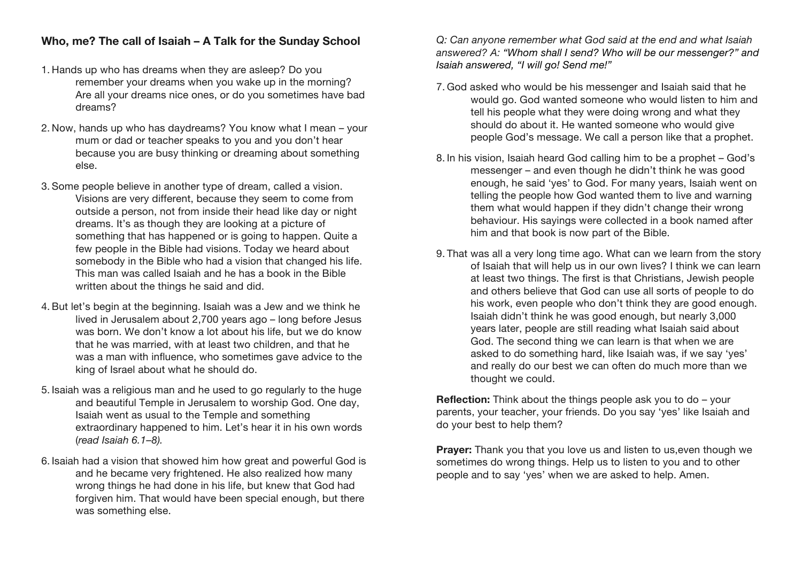## **Who, me? The call of Isaiah – A Talk for the Sunday School**

- 1. Hands up who has dreams when they are asleep? Do you remember your dreams when you wake up in the morning? Are all your dreams nice ones, or do you sometimes have bad dreams?
- 2. Now, hands up who has daydreams? You know what I mean your mum or dad or teacher speaks to you and you don't hear because you are busy thinking or dreaming about something else.
- 3. Some people believe in another type of dream, called a vision. Visions are very different, because they seem to come from outside a person, not from inside their head like day or night dreams. It's as though they are looking at a picture of something that has happened or is going to happen. Quite a few people in the Bible had visions. Today we heard about somebody in the Bible who had a vision that changed his life. This man was called Isaiah and he has a book in the Bible written about the things he said and did.
- 4. But let's begin at the beginning. Isaiah was a Jew and we think he lived in Jerusalem about 2,700 years ago – long before Jesus was born. We don't know a lot about his life, but we do know that he was married, with at least two children, and that he was a man with influence, who sometimes gave advice to the king of Israel about what he should do.
- 5. Isaiah was a religious man and he used to go regularly to the huge and beautiful Temple in Jerusalem to worship God. One day, Isaiah went as usual to the Temple and something extraordinary happened to him. Let's hear it in his own words (*read Isaiah 6.1–8).*
- 6. Isaiah had a vision that showed him how great and powerful God is and he became very frightened. He also realized how many wrong things he had done in his life, but knew that God had forgiven him. That would have been special enough, but there was something else.

*Q: Can anyone remember what God said at the end and what Isaiah answered? A: "Whom shall I send? Who will be our messenger?" and Isaiah answered, "I will go! Send me!"*

- 7. God asked who would be his messenger and Isaiah said that he would go. God wanted someone who would listen to him and tell his people what they were doing wrong and what they should do about it. He wanted someone who would give people God's message. We call a person like that a prophet.
- 8. In his vision, Isaiah heard God calling him to be a prophet God's messenger – and even though he didn't think he was good enough, he said 'yes' to God. For many years, Isaiah went on telling the people how God wanted them to live and warning them what would happen if they didn't change their wrong behaviour. His sayings were collected in a book named after him and that book is now part of the Bible.
- 9. That was all a very long time ago. What can we learn from the story of Isaiah that will help us in our own lives? I think we can learn at least two things. The first is that Christians, Jewish people and others believe that God can use all sorts of people to do his work, even people who don't think they are good enough. Isaiah didn't think he was good enough, but nearly 3,000 years later, people are still reading what Isaiah said about God. The second thing we can learn is that when we are asked to do something hard, like Isaiah was, if we say 'yes' and really do our best we can often do much more than we thought we could.

**Reflection:** Think about the things people ask you to do – your parents, your teacher, your friends. Do you say 'yes' like Isaiah and do your best to help them?

**Prayer:** Thank you that you love us and listen to us, even though we sometimes do wrong things. Help us to listen to you and to other people and to say 'yes' when we are asked to help. Amen.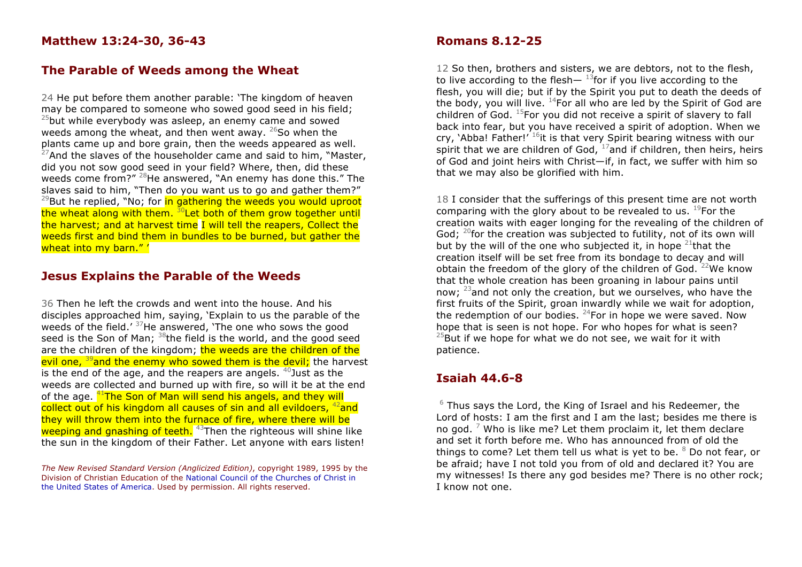## **The Parable of Weeds among the Wheat**

24 He put before them another parable: 'The kingdom of heaven may be compared to someone who sowed good seed in his field;  $25$ but while everybody was asleep, an enemy came and sowed weeds among the wheat, and then went away.  $26$ So when the plants came up and bore grain, then the weeds appeared as well.  $27$ And the slaves of the householder came and said to him, "Master, did you not sow good seed in your field? Where, then, did these weeds come from?" <sup>28</sup>He answered, "An enemy has done this." The slaves said to him, "Then do you want us to go and gather them?"  $29$ But he replied, "No; for  $\frac{1}{2}$  in gathering the weeds you would uproot the wheat along with them.  $30$  Let both of them grow together until the harvest; and at harvest time I will tell the reapers, Collect the weeds first and bind them in bundles to be burned, but gather the wheat into my barn."'

### **Jesus Explains the Parable of the Weeds**

36 Then he left the crowds and went into the house. And his disciples approached him, saying, 'Explain to us the parable of the weeds of the field.'  $37$ He answered, 'The one who sows the good seed is the Son of Man;  $38$ the field is the world, and the good seed are the children of the kingdom; the weeds are the children of the evil one, <sup>39</sup>and the enemy who sowed them is the devil; the harvest is the end of the age, and the reapers are angels.  $40$  Just as the weeds are collected and burned up with fire, so will it be at the end of the age.  $41$ The Son of Man will send his angels, and they will collect out of his kingdom all causes of sin and all evildoers,  $42$  and they will throw them into the furnace of fire, where there will be weeping and gnashing of teeth.  $43$ Then the righteous will shine like the sun in the kingdom of their Father. Let anyone with ears listen!

*The New Revised Standard Version (Anglicized Edition)*, copyright 1989, 1995 by the Division of Christian Education of the National Council of the Churches of Christ in the United States of America. Used by permission. All rights reserved.

#### **Romans 8.12-25**

12 So then, brothers and sisters, we are debtors, not to the flesh, to live according to the flesh $^{13}$ for if you live according to the flesh, you will die; but if by the Spirit you put to death the deeds of the body, you will live.  $^{14}$ For all who are led by the Spirit of God are children of God.  $^{15}$ For you did not receive a spirit of slavery to fall back into fear, but you have received a spirit of adoption. When we cry, 'Abba! Father!'  $^{16}$ it is that very Spirit bearing witness with our spirit that we are children of God,  $17$  and if children, then heirs, heirs of God and joint heirs with Christ—if, in fact, we suffer with him so that we may also be glorified with him.

18 I consider that the sufferings of this present time are not worth comparing with the glory about to be revealed to us.  $^{19}$ For the creation waits with eager longing for the revealing of the children of God;  $^{20}$  for the creation was subjected to futility, not of its own will but by the will of the one who subjected it, in hope  $21$  that the creation itself will be set free from its bondage to decay and will obtain the freedom of the glory of the children of God.  $22$ We know that the whole creation has been groaning in labour pains until now; 23and not only the creation, but we ourselves, who have the first fruits of the Spirit, groan inwardly while we wait for adoption, the redemption of our bodies.  $24$  For in hope we were saved. Now hope that is seen is not hope. For who hopes for what is seen?  $25$ But if we hope for what we do not see, we wait for it with patience.

#### **Isaiah 44.6-8**

 $6$  Thus says the Lord, the King of Israel and his Redeemer, the Lord of hosts: I am the first and I am the last; besides me there is no god. <sup>7</sup> Who is like me? Let them proclaim it, let them declare and set it forth before me. Who has announced from of old the things to come? Let them tell us what is yet to be.  $8$  Do not fear, or be afraid; have I not told you from of old and declared it? You are my witnesses! Is there any god besides me? There is no other rock; I know not one.